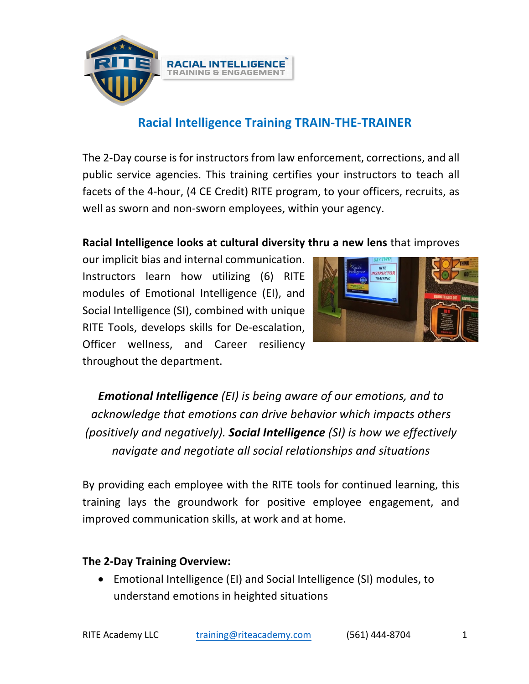

# **Racial Intelligence Training TRAIN-THE-TRAINER**

The 2-Day course is for instructors from law enforcement, corrections, and all public service agencies. This training certifies your instructors to teach all facets of the 4-hour, (4 CE Credit) RITE program, to your officers, recruits, as well as sworn and non-sworn employees, within your agency.

### **Racial Intelligence looks at cultural diversity thru a new lens** that improves

our implicit bias and internal communication. Instructors learn how utilizing (6) RITE modules of Emotional Intelligence (EI), and Social Intelligence (SI), combined with unique RITE Tools, develops skills for De-escalation, Officer wellness, and Career resiliency throughout the department. 



*Emotional Intelligence* (*EI*) *is being aware of our emotions, and to acknowledge that emotions can drive behavior which impacts others (positively and negatively).* **Social Intelligence** *(SI)* is how we effectively *navigate and negotiate all social relationships and situations*

By providing each employee with the RITE tools for continued learning, this training lays the groundwork for positive employee engagement, and improved communication skills, at work and at home.

#### **The 2-Day Training Overview:**

• Emotional Intelligence (EI) and Social Intelligence (SI) modules, to understand emotions in heighted situations